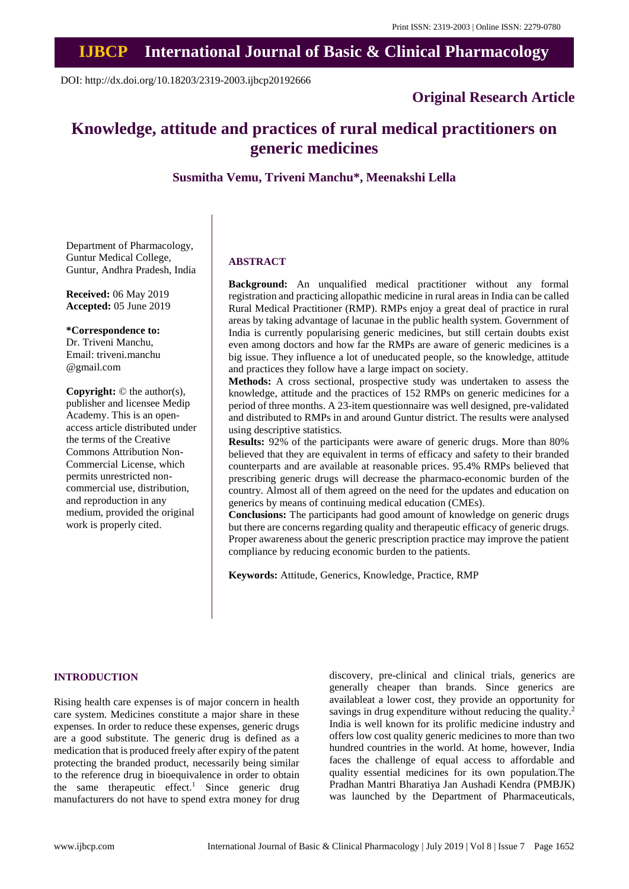# **IJBCP International Journal of Basic & Clinical Pharmacology**

DOI: http://dx.doi.org/10.18203/2319-2003.ijbcp20192666

### **Original Research Article**

## **Knowledge, attitude and practices of rural medical practitioners on generic medicines**

**Susmitha Vemu, Triveni Manchu\*, Meenakshi Lella** 

Department of Pharmacology, Guntur Medical College, Guntur, Andhra Pradesh, India

**Received:** 06 May 2019 **Accepted:** 05 June 2019

**\*Correspondence to:** Dr. Triveni Manchu,

Email: triveni.manchu @gmail.com

**Copyright:** © the author(s), publisher and licensee Medip Academy. This is an openaccess article distributed under the terms of the Creative Commons Attribution Non-Commercial License, which permits unrestricted noncommercial use, distribution, and reproduction in any medium, provided the original work is properly cited.

#### **ABSTRACT**

**Background:** An unqualified medical practitioner without any formal registration and practicing allopathic medicine in rural areas in India can be called Rural Medical Practitioner (RMP). RMPs enjoy a great deal of practice in rural areas by taking advantage of lacunae in the public health system. Government of India is currently popularising generic medicines, but still certain doubts exist even among doctors and how far the RMPs are aware of generic medicines is a big issue. They influence a lot of uneducated people, so the knowledge, attitude and practices they follow have a large impact on society.

**Methods:** A cross sectional, prospective study was undertaken to assess the knowledge, attitude and the practices of 152 RMPs on generic medicines for a period of three months. A 23-item questionnaire was well designed, pre-validated and distributed to RMPs in and around Guntur district. The results were analysed using descriptive statistics.

**Results:** 92% of the participants were aware of generic drugs. More than 80% believed that they are equivalent in terms of efficacy and safety to their branded counterparts and are available at reasonable prices. 95.4% RMPs believed that prescribing generic drugs will decrease the pharmaco-economic burden of the country. Almost all of them agreed on the need for the updates and education on generics by means of continuing medical education (CMEs).

**Conclusions:** The participants had good amount of knowledge on generic drugs but there are concerns regarding quality and therapeutic efficacy of generic drugs. Proper awareness about the generic prescription practice may improve the patient compliance by reducing economic burden to the patients.

**Keywords:** Attitude, Generics, Knowledge, Practice, RMP

#### **INTRODUCTION**

Rising health care expenses is of major concern in health care system. Medicines constitute a major share in these expenses. In order to reduce these expenses, generic drugs are a good substitute. The generic drug is defined as a medication that is produced freely after expiry of the patent protecting the branded product, necessarily being similar to the reference drug in bioequivalence in order to obtain the same therapeutic effect.<sup>1</sup> Since generic drug manufacturers do not have to spend extra money for drug discovery, pre-clinical and clinical trials, generics are generally cheaper than brands. Since generics are availableat a lower cost, they provide an opportunity for savings in drug expenditure without reducing the quality.<sup>2</sup> India is well known for its prolific medicine industry and offers low cost quality generic medicines to more than two hundred countries in the world. At home, however, India faces the challenge of equal access to affordable and quality essential medicines for its own population.The Pradhan Mantri Bharatiya Jan Aushadi Kendra (PMBJK) was launched by the Department of Pharmaceuticals,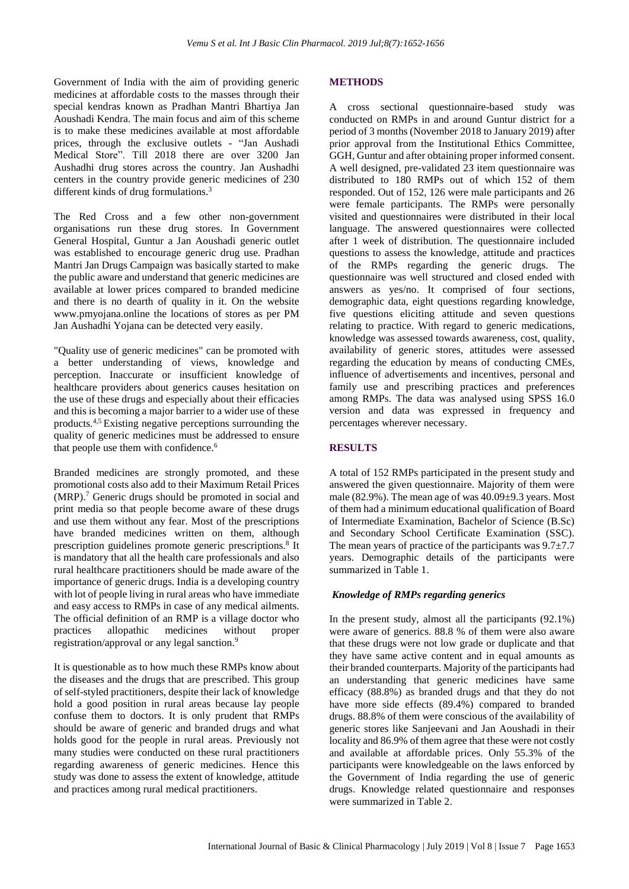Government of India with the aim of providing generic medicines at affordable costs to the masses through their special kendras known as Pradhan Mantri Bhartiya Jan Aoushadi Kendra. The main focus and aim of this scheme is to make these medicines available at most affordable prices, through the exclusive outlets - "Jan Aushadi Medical Store". Till 2018 there are over 3200 Jan Aushadhi drug stores across the country. Jan Aushadhi centers in the country provide generic medicines of 230 different kinds of drug formulations.<sup>3</sup>

The Red Cross and a few other non-government organisations run these drug stores. In Government General Hospital, Guntur a Jan Aoushadi generic outlet was established to encourage generic drug use. Pradhan Mantri Jan Drugs Campaign was basically started to make the public aware and understand that generic medicines are available at lower prices compared to branded medicine and there is no dearth of quality in it. On the website www.pmyojana.online the locations of stores as per PM Jan Aushadhi Yojana can be detected very easily.

"Quality use of generic medicines" can be promoted with a better understanding of views, knowledge and perception. Inaccurate or insufficient knowledge of healthcare providers about generics causes hesitation on the use of these drugs and especially about their efficacies and this is becoming a major barrier to a wider use of these products.4,5 Existing negative perceptions surrounding the quality of generic medicines must be addressed to ensure that people use them with confidence. 6

Branded medicines are strongly promoted, and these promotional costs also add to their Maximum Retail Prices (MRP). <sup>7</sup> Generic drugs should be promoted in social and print media so that people become aware of these drugs and use them without any fear. Most of the prescriptions have branded medicines written on them, although prescription guidelines promote generic prescriptions. 8 It is mandatory that all the health care professionals and also rural healthcare practitioners should be made aware of the importance of generic drugs. India is a developing country with lot of people living in rural areas who have immediate and easy access to RMPs in case of any medical ailments. The official definition of an RMP is a village doctor who practices allopathic medicines without proper registration/approval or any legal sanction.<sup>9</sup>

It is questionable as to how much these RMPs know about the diseases and the drugs that are prescribed. This group of self-styled practitioners, despite their lack of knowledge hold a good position in rural areas because lay people confuse them to doctors. It is only prudent that RMPs should be aware of generic and branded drugs and what holds good for the people in rural areas. Previously not many studies were conducted on these rural practitioners regarding awareness of generic medicines. Hence this study was done to assess the extent of knowledge, attitude and practices among rural medical practitioners.

#### **METHODS**

A cross sectional questionnaire-based study was conducted on RMPs in and around Guntur district for a period of 3 months (November 2018 to January 2019) after prior approval from the Institutional Ethics Committee, GGH, Guntur and after obtaining proper informed consent. A well designed, pre-validated 23 item questionnaire was distributed to 180 RMPs out of which 152 of them responded. Out of 152, 126 were male participants and 26 were female participants. The RMPs were personally visited and questionnaires were distributed in their local language. The answered questionnaires were collected after 1 week of distribution. The questionnaire included questions to assess the knowledge, attitude and practices of the RMPs regarding the generic drugs. The questionnaire was well structured and closed ended with answers as yes/no. It comprised of four sections, demographic data, eight questions regarding knowledge, five questions eliciting attitude and seven questions relating to practice. With regard to generic medications, knowledge was assessed towards awareness, cost, quality, availability of generic stores, attitudes were assessed regarding the education by means of conducting CMEs, influence of advertisements and incentives, personal and family use and prescribing practices and preferences among RMPs. The data was analysed using SPSS 16.0 version and data was expressed in frequency and percentages wherever necessary.

#### **RESULTS**

A total of 152 RMPs participated in the present study and answered the given questionnaire. Majority of them were male (82.9%). The mean age of was 40.09±9.3 years. Most of them had a minimum educational qualification of Board of Intermediate Examination, Bachelor of Science (B.Sc) and Secondary School Certificate Examination (SSC). The mean years of practice of the participants was  $9.7\pm7.7$ years. Demographic details of the participants were summarized in Table 1.

#### *Knowledge of RMPs regarding generics*

In the present study, almost all the participants (92.1%) were aware of generics. 88.8 % of them were also aware that these drugs were not low grade or duplicate and that they have same active content and in equal amounts as their branded counterparts. Majority of the participants had an understanding that generic medicines have same efficacy (88.8%) as branded drugs and that they do not have more side effects (89.4%) compared to branded drugs. 88.8% of them were conscious of the availability of generic stores like Sanjeevani and Jan Aoushadi in their locality and 86.9% of them agree that these were not costly and available at affordable prices. Only 55.3% of the participants were knowledgeable on the laws enforced by the Government of India regarding the use of generic drugs. Knowledge related questionnaire and responses were summarized in Table 2.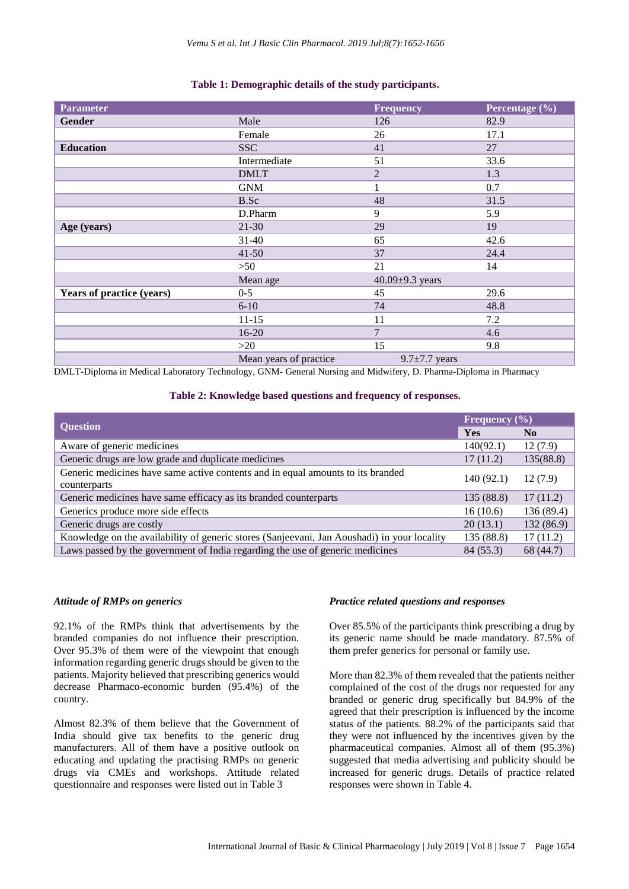| <b>Parameter</b>          |                        | <b>Frequency</b>      | Percentage (%) |
|---------------------------|------------------------|-----------------------|----------------|
| <b>Gender</b>             | Male                   | 126                   | 82.9           |
|                           | Female                 | 26                    | 17.1           |
| <b>Education</b>          | <b>SSC</b>             | 41                    | 27             |
|                           | Intermediate           | 51                    | 33.6           |
|                           | <b>DMLT</b>            | $\overline{2}$        | 1.3            |
|                           | <b>GNM</b>             | $\mathbf{1}$          | 0.7            |
|                           | B.Sc                   | 48                    | 31.5           |
|                           | D.Pharm                | 9                     | 5.9            |
| Age (years)               | $21 - 30$              | 29                    | 19             |
|                           | $31 - 40$              | 65                    | 42.6           |
|                           | $41 - 50$              | 37                    | 24.4           |
|                           | >50                    | 21                    | 14             |
|                           | Mean age               | 40.09 $\pm$ 9.3 years |                |
| Years of practice (years) | $0 - 5$                | 45                    | 29.6           |
|                           | $6-10$                 | 74                    | 48.8           |
|                           | $11 - 15$              | 11                    | 7.2            |
|                           | 16-20                  | $\overline{7}$        | 4.6            |
|                           | >20                    | 15                    | 9.8            |
|                           | Mean years of practice | $9.7 \pm 7.7$ years   |                |

DMLT-Diploma in Medical Laboratory Technology, GNM- General Nursing and Midwifery, D. Pharma-Diploma in Pharmacy

#### **Table 2: Knowledge based questions and frequency of responses.**

| <b>Question</b>                                                                                 |           | Frequency $(\% )$ |                                                                  |
|-------------------------------------------------------------------------------------------------|-----------|-------------------|------------------------------------------------------------------|
|                                                                                                 |           | N <sub>0</sub>    |                                                                  |
| Aware of generic medicines                                                                      | 140(92.1) | 12(7.9)           |                                                                  |
| Generic drugs are low grade and duplicate medicines                                             | 17(11.2)  | 135(88.8)         |                                                                  |
| Generic medicines have same active contents and in equal amounts to its branded<br>counterparts |           | 12(7.9)           |                                                                  |
|                                                                                                 |           |                   | Generic medicines have same efficacy as its branded counterparts |
| Generics produce more side effects                                                              |           | 136(89.4)         |                                                                  |
| Generic drugs are costly                                                                        |           | 132 (86.9)        |                                                                  |
| Knowledge on the availability of generic stores (Sanjeevani, Jan Aoushadi) in your locality     |           | 17(11.2)          |                                                                  |
| Laws passed by the government of India regarding the use of generic medicines                   |           | 68 (44.7)         |                                                                  |

#### *Attitude of RMPs on generics*

92.1% of the RMPs think that advertisements by the branded companies do not influence their prescription. Over 95.3% of them were of the viewpoint that enough information regarding generic drugs should be given to the patients. Majority believed that prescribing generics would decrease Pharmaco-economic burden (95.4%) of the country.

Almost 82.3% of them believe that the Government of India should give tax benefits to the generic drug manufacturers. All of them have a positive outlook on educating and updating the practising RMPs on generic drugs via CMEs and workshops. Attitude related questionnaire and responses were listed out in Table 3

#### *Practice related questions and responses*

Over 85.5% of the participants think prescribing a drug by its generic name should be made mandatory. 87.5% of them prefer generics for personal or family use.

More than 82.3% of them revealed that the patients neither complained of the cost of the drugs nor requested for any branded or generic drug specifically but 84.9% of the agreed that their prescription is influenced by the income status of the patients. 88.2% of the participants said that they were not influenced by the incentives given by the pharmaceutical companies. Almost all of them (95.3%) suggested that media advertising and publicity should be increased for generic drugs. Details of practice related responses were shown in Table 4.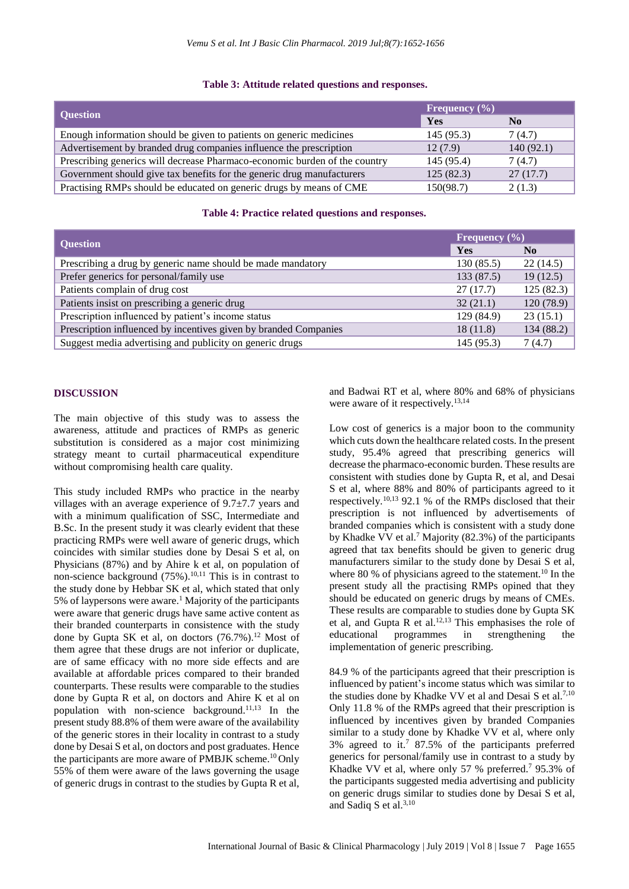#### **Table 3: Attitude related questions and responses.**

|                                                                            | Frequency $(\%)$ |                |
|----------------------------------------------------------------------------|------------------|----------------|
| <b>Question</b>                                                            | Yes              | N <sub>0</sub> |
| Enough information should be given to patients on generic medicines        | 145(95.3)        | 7(4.7)         |
| Advertisement by branded drug companies influence the prescription         | 12(7.9)          | 140(92.1)      |
| Prescribing generics will decrease Pharmaco-economic burden of the country | 145 (95.4)       | 7(4.7)         |
| Government should give tax benefits for the generic drug manufacturers     | 125(82.3)        | 27(17.7)       |
| Practising RMPs should be educated on generic drugs by means of CME        | 150(98.7)        | 2(1.3)         |

#### **Table 4: Practice related questions and responses.**

|                                                                  |            | Frequency $(\% )$ |  |
|------------------------------------------------------------------|------------|-------------------|--|
| <b>Question</b>                                                  | Yes        | N <sub>0</sub>    |  |
| Prescribing a drug by generic name should be made mandatory      | 130(85.5)  | 22(14.5)          |  |
| Prefer generics for personal/family use                          | 133 (87.5) | 19(12.5)          |  |
| Patients complain of drug cost                                   | 27(17.7)   | 125(82.3)         |  |
| Patients insist on prescribing a generic drug                    | 32(21.1)   | 120(78.9)         |  |
| Prescription influenced by patient's income status               | 129 (84.9) | 23(15.1)          |  |
| Prescription influenced by incentives given by branded Companies | 18(11.8)   | 134 $(88.2)$      |  |
| Suggest media advertising and publicity on generic drugs         | 145 (95.3) | 7 (4.7)           |  |

#### **DISCUSSION**

The main objective of this study was to assess the awareness, attitude and practices of RMPs as generic substitution is considered as a major cost minimizing strategy meant to curtail pharmaceutical expenditure without compromising health care quality.

This study included RMPs who practice in the nearby villages with an average experience of 9.7±7.7 years and with a minimum qualification of SSC, Intermediate and B.Sc. In the present study it was clearly evident that these practicing RMPs were well aware of generic drugs, which coincides with similar studies done by Desai S et al, on Physicians (87%) and by Ahire k et al, on population of non-science background  $(75%)$ <sup>10,11</sup> This is in contrast to the study done by Hebbar SK et al, which stated that only 5% of laypersons were aware.<sup>1</sup> Majority of the participants were aware that generic drugs have same active content as their branded counterparts in consistence with the study done by Gupta SK et al, on doctors  $(76.7\%)$ .<sup>12</sup> Most of them agree that these drugs are not inferior or duplicate, are of same efficacy with no more side effects and are available at affordable prices compared to their branded counterparts. These results were comparable to the studies done by Gupta R et al, on doctors and Ahire K et al on population with non-science background.11,13 In the present study 88.8% of them were aware of the availability of the generic stores in their locality in contrast to a study done by Desai S et al, on doctors and post graduates. Hence the participants are more aware of PMBJK scheme.<sup>10</sup> Only 55% of them were aware of the laws governing the usage of generic drugs in contrast to the studies by Gupta R et al, and Badwai RT et al, where 80% and 68% of physicians were aware of it respectively.<sup>13,14</sup>

Low cost of generics is a major boon to the community which cuts down the healthcare related costs. In the present study, 95.4% agreed that prescribing generics will decrease the pharmaco-economic burden. These results are consistent with studies done by Gupta R, et al, and Desai S et al, where 88% and 80% of participants agreed to it respectively.10,13 92.1 % of the RMPs disclosed that their prescription is not influenced by advertisements of branded companies which is consistent with a study done by Khadke VV et al.<sup>7</sup> Majority (82.3%) of the participants agreed that tax benefits should be given to generic drug manufacturers similar to the study done by Desai S et al, where 80 % of physicians agreed to the statement.<sup>10</sup> In the present study all the practising RMPs opined that they should be educated on generic drugs by means of CMEs. These results are comparable to studies done by Gupta SK et al, and Gupta R et al.<sup>12,13</sup> This emphasises the role of educational programmes in strengthening the implementation of generic prescribing.

84.9 % of the participants agreed that their prescription is influenced by patient's income status which was similar to the studies done by Khadke VV et al and Desai S et al.<sup>7,10</sup> Only 11.8 % of the RMPs agreed that their prescription is influenced by incentives given by branded Companies similar to a study done by Khadke VV et al, where only 3% agreed to it.<sup>7</sup> 87.5% of the participants preferred generics for personal/family use in contrast to a study by Khadke VV et al, where only 57 % preferred.<sup>7</sup> 95.3% of the participants suggested media advertising and publicity on generic drugs similar to studies done by Desai S et al, and Sadiq S et al.<sup>3,10</sup>